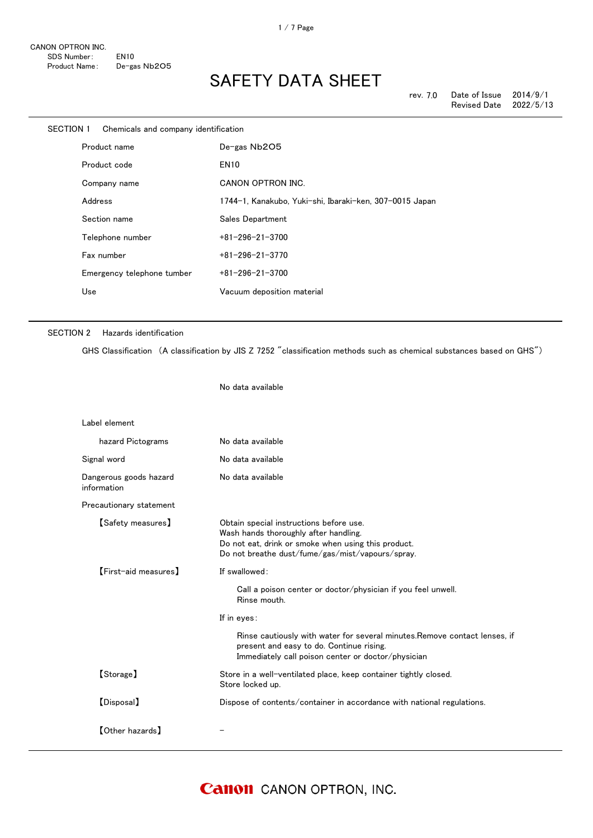|              | SECTION 1 Chemicals and company identification |                                                         |
|--------------|------------------------------------------------|---------------------------------------------------------|
| Product name |                                                | De-gas Nb2O5                                            |
|              | Product code                                   | <b>EN10</b>                                             |
|              | Company name                                   | CANON OPTRON INC.                                       |
|              | Address                                        | 1744-1, Kanakubo, Yuki-shi, Ibaraki-ken, 307-0015 Japan |
|              | Section name                                   | Sales Department                                        |
|              | Telephone number                               | $+81 - 296 - 21 - 3700$                                 |
|              | Fax number                                     | $+81 - 296 - 21 - 3770$                                 |
|              | Emergency telephone tumber                     | $+81 - 296 - 21 - 3700$                                 |
|              | Use                                            | Vacuum deposition material                              |
|              |                                                |                                                         |

#### SECTION 2 Hazards identification

GHS Classification (A classification by JIS Z 7252 "classification methods such as chemical substances based on GHS")

No data available

| Label element                         |                                                                                                                                                                                             |
|---------------------------------------|---------------------------------------------------------------------------------------------------------------------------------------------------------------------------------------------|
| hazard Pictograms                     | No data available                                                                                                                                                                           |
| Signal word                           | No data available                                                                                                                                                                           |
| Dangerous goods hazard<br>information | No data available                                                                                                                                                                           |
| Precautionary statement               |                                                                                                                                                                                             |
| <b>【Safety measures】</b>              | Obtain special instructions before use.<br>Wash hands thoroughly after handling.<br>Do not eat, drink or smoke when using this product.<br>Do not breathe dust/fume/gas/mist/vapours/spray. |
| [First-aid measures]                  | If swallowed:                                                                                                                                                                               |
|                                       | Call a poison center or doctor/physician if you feel unwell.<br>Rinse mouth.                                                                                                                |
|                                       | If in eyes:                                                                                                                                                                                 |
|                                       | Rinse cautiously with water for several minutes. Remove contact lenses, if<br>present and easy to do. Continue rising.<br>Immediately call poison center or doctor/physician                |
| [Storage]                             | Store in a well-ventilated place, keep container tightly closed.<br>Store locked up.                                                                                                        |
| [Disposal]                            | Dispose of contents/container in accordance with national regulations.                                                                                                                      |
| $\textsf{[Other hazards]}$            |                                                                                                                                                                                             |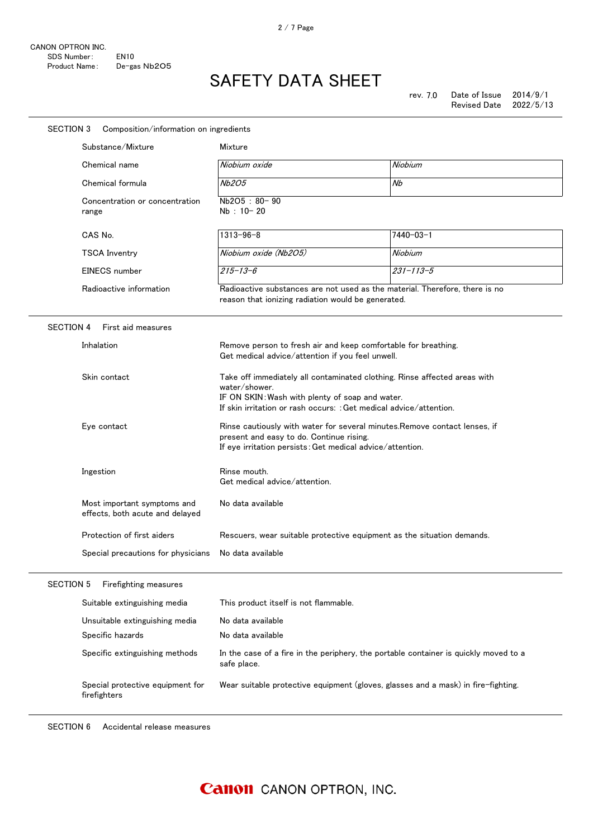### SAFETY DATA SHEET

| SECTION 3<br>Composition/information on ingredients            |                                                                                                                                                                                                                                                                                                                                                                                                            |                                                                                      |
|----------------------------------------------------------------|------------------------------------------------------------------------------------------------------------------------------------------------------------------------------------------------------------------------------------------------------------------------------------------------------------------------------------------------------------------------------------------------------------|--------------------------------------------------------------------------------------|
| Substance/Mixture                                              | Mixture                                                                                                                                                                                                                                                                                                                                                                                                    |                                                                                      |
| Chemical name                                                  | Niobium oxide                                                                                                                                                                                                                                                                                                                                                                                              | Niobium                                                                              |
| Chemical formula                                               | Nb2O5                                                                                                                                                                                                                                                                                                                                                                                                      | Nb                                                                                   |
| Concentration or concentration<br>range                        | Nb2O5: 80-90<br>Nb: 10-20                                                                                                                                                                                                                                                                                                                                                                                  |                                                                                      |
| CAS No.                                                        | $1313 - 96 - 8$                                                                                                                                                                                                                                                                                                                                                                                            | 7440-03-1                                                                            |
| <b>TSCA Inventry</b>                                           | Niobium oxide (Nb2O5)                                                                                                                                                                                                                                                                                                                                                                                      | Niobium                                                                              |
| EINECS number                                                  | $215 - 13 - 6$                                                                                                                                                                                                                                                                                                                                                                                             | $231 - 113 - 5$                                                                      |
| Radioactive information                                        | reason that ionizing radiation would be generated.                                                                                                                                                                                                                                                                                                                                                         | Radioactive substances are not used as the material. Therefore, there is no          |
| <b>SECTION 4</b><br>First aid measures                         |                                                                                                                                                                                                                                                                                                                                                                                                            |                                                                                      |
| Inhalation                                                     | Get medical advice/attention if you feel unwell.                                                                                                                                                                                                                                                                                                                                                           | Remove person to fresh air and keep comfortable for breathing.                       |
| Skin contact                                                   | Take off immediately all contaminated clothing. Rinse affected areas with<br>water/shower.<br>IF ON SKIN: Wash with plenty of soap and water.<br>If skin irritation or rash occurs: : Get medical advice/attention.<br>Rinse cautiously with water for several minutes. Remove contact lenses, if<br>present and easy to do. Continue rising.<br>If eye irritation persists: Get medical advice/attention. |                                                                                      |
| Eye contact                                                    |                                                                                                                                                                                                                                                                                                                                                                                                            |                                                                                      |
| Ingestion                                                      | Rinse mouth.<br>Get medical advice/attention.                                                                                                                                                                                                                                                                                                                                                              |                                                                                      |
| Most important symptoms and<br>effects, both acute and delayed | No data available                                                                                                                                                                                                                                                                                                                                                                                          |                                                                                      |
| Protection of first aiders                                     | Rescuers, wear suitable protective equipment as the situation demands.<br>No data available                                                                                                                                                                                                                                                                                                                |                                                                                      |
| Special precautions for physicians                             |                                                                                                                                                                                                                                                                                                                                                                                                            |                                                                                      |
| <b>SECTION 5</b><br>Firefighting measures                      |                                                                                                                                                                                                                                                                                                                                                                                                            |                                                                                      |
| Suitable extinguishing media                                   | This product itself is not flammable.                                                                                                                                                                                                                                                                                                                                                                      |                                                                                      |
| Unsuitable extinguishing media                                 | No data available                                                                                                                                                                                                                                                                                                                                                                                          |                                                                                      |
| Specific hazards                                               | No data available                                                                                                                                                                                                                                                                                                                                                                                          |                                                                                      |
| Specific extinguishing methods                                 | safe place.                                                                                                                                                                                                                                                                                                                                                                                                | In the case of a fire in the periphery, the portable container is quickly moved to a |
| Special protective equipment for<br>firefighters               |                                                                                                                                                                                                                                                                                                                                                                                                            | Wear suitable protective equipment (gloves, glasses and a mask) in fire-fighting.    |

SECTION 6 Accidental release measures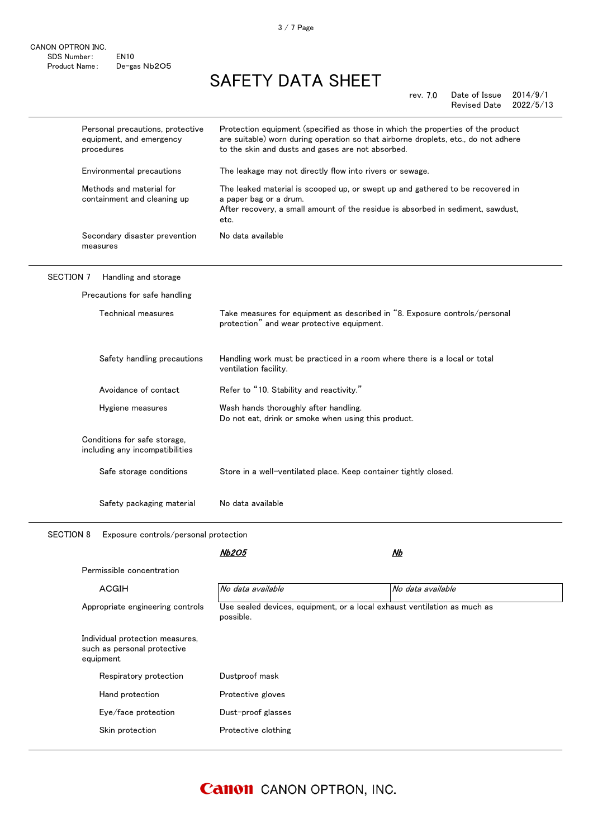| Personal precautions, protective<br>equipment, and emergency<br>procedures | Protection equipment (specified as those in which the properties of the product<br>are suitable) worn during operation so that airborne droplets, etc., do not adhere<br>to the skin and dusts and gases are not absorbed. |
|----------------------------------------------------------------------------|----------------------------------------------------------------------------------------------------------------------------------------------------------------------------------------------------------------------------|
| Environmental precautions                                                  | The leakage may not directly flow into rivers or sewage.                                                                                                                                                                   |
| Methods and material for<br>containment and cleaning up                    | The leaked material is scooped up, or swept up and gathered to be recovered in<br>a paper bag or a drum.<br>After recovery, a small amount of the residue is absorbed in sediment, sawdust,<br>etc.                        |
| Secondary disaster prevention<br>measures                                  | No data available                                                                                                                                                                                                          |
| <b>SECTION 7</b><br>Handling and storage                                   |                                                                                                                                                                                                                            |
| Precautions for safe handling                                              |                                                                                                                                                                                                                            |
| Technical measures                                                         | Take measures for equipment as described in "8. Exposure controls/personal<br>protection" and wear protective equipment.                                                                                                   |
| Safety handling precautions                                                | Handling work must be practiced in a room where there is a local or total<br>ventilation facility.                                                                                                                         |
| Avoidance of contact                                                       | Refer to "10. Stability and reactivity."                                                                                                                                                                                   |
| Hygiene measures                                                           | Wash hands thoroughly after handling.<br>Do not eat, drink or smoke when using this product.                                                                                                                               |
| Conditions for safe storage,<br>including any incompatibilities            |                                                                                                                                                                                                                            |
| Safe storage conditions                                                    | Store in a well-ventilated place. Keep container tightly closed.                                                                                                                                                           |
| Safety packaging material                                                  | No data available                                                                                                                                                                                                          |

SECTION 8 Exposure controls/personal protection

Nb2O5

| Permissible concentration                                                   |                                                                                       |                   |
|-----------------------------------------------------------------------------|---------------------------------------------------------------------------------------|-------------------|
| ACGIH                                                                       | No data available                                                                     | No data available |
| Appropriate engineering controls                                            | Use sealed devices, equipment, or a local exhaust ventilation as much as<br>possible. |                   |
| Individual protection measures,<br>such as personal protective<br>equipment |                                                                                       |                   |
| Respiratory protection                                                      | Dustproof mask                                                                        |                   |
| Hand protection                                                             | Protective gloves                                                                     |                   |
| Eye/face protection                                                         | Dust-proof glasses                                                                    |                   |
| Skin protection                                                             | Protective clothing                                                                   |                   |
|                                                                             |                                                                                       |                   |

 $\sim$  Nb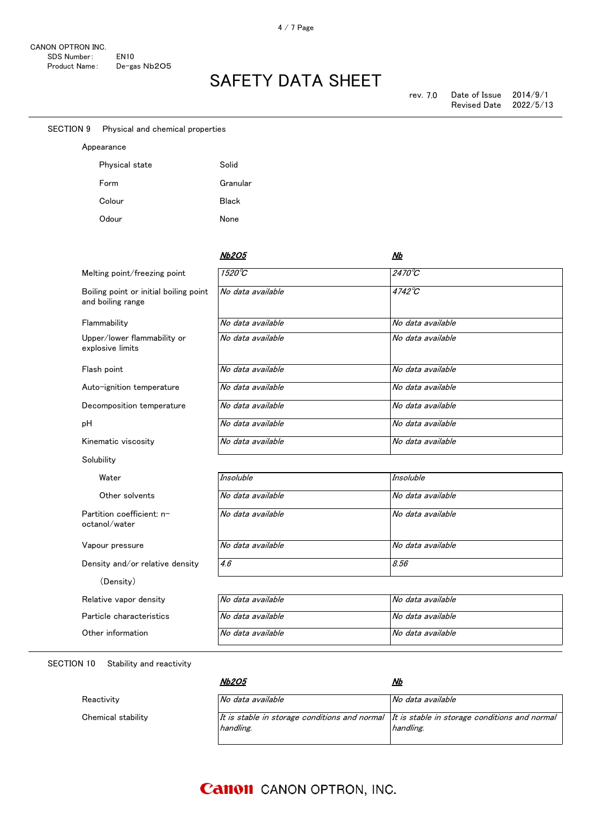| <b>SECTION 9</b> | Physical and chemical properties                            |                   |                   |
|------------------|-------------------------------------------------------------|-------------------|-------------------|
|                  | Appearance                                                  |                   |                   |
|                  | Physical state                                              | Solid             |                   |
|                  | Form                                                        | Granular          |                   |
|                  | Colour                                                      | <b>Black</b>      |                   |
|                  | Odour                                                       | None              |                   |
|                  |                                                             |                   |                   |
|                  |                                                             | <b>Nb2O5</b>      | <u>Nb</u>         |
|                  | Melting point/freezing point                                | $1520^{\circ}$ C  | 2470°C            |
|                  | Boiling point or initial boiling point<br>and boiling range | No data available | 4742°C            |
|                  | Flammability                                                | No data available | No data available |
|                  | Upper/lower flammability or                                 | No data available | No data available |
|                  | explosive limits                                            |                   |                   |
|                  | Flash point                                                 | No data available | No data available |
|                  | Auto-ignition temperature                                   | No data available | No data available |
|                  | Decomposition temperature                                   | No data available | No data available |
| pH               |                                                             | No data available | No data available |
|                  | Kinematic viscosity                                         | No data available | No data available |
|                  | Solubility                                                  |                   |                   |
|                  | Water                                                       | <b>Insoluble</b>  | <b>Insoluble</b>  |
|                  | Other solvents                                              | No data available | No data available |
|                  | Partition coefficient: n-<br>octanol/water                  | No data available | No data available |
|                  | Vapour pressure                                             | No data available | No data available |
|                  | Density and/or relative density                             | 4.6               | 8.56              |
|                  | (Density)                                                   |                   |                   |
|                  | Relative vapor density                                      | No data available | No data available |
|                  | Particle characteristics                                    | No data available | No data available |
|                  | Other information                                           | No data available | No data available |
|                  |                                                             |                   |                   |

SECTION 10 Stability and reactivity

Chemical stability

Reactivity

Nb2O5

| <i><b>Nb2O5</b></i>                                                                                           | Nb                |
|---------------------------------------------------------------------------------------------------------------|-------------------|
| No data available                                                                                             | No data available |
| It is stable in storage conditions and normal $\,$ It is stable in storage conditions and normal<br>handling. | handling.         |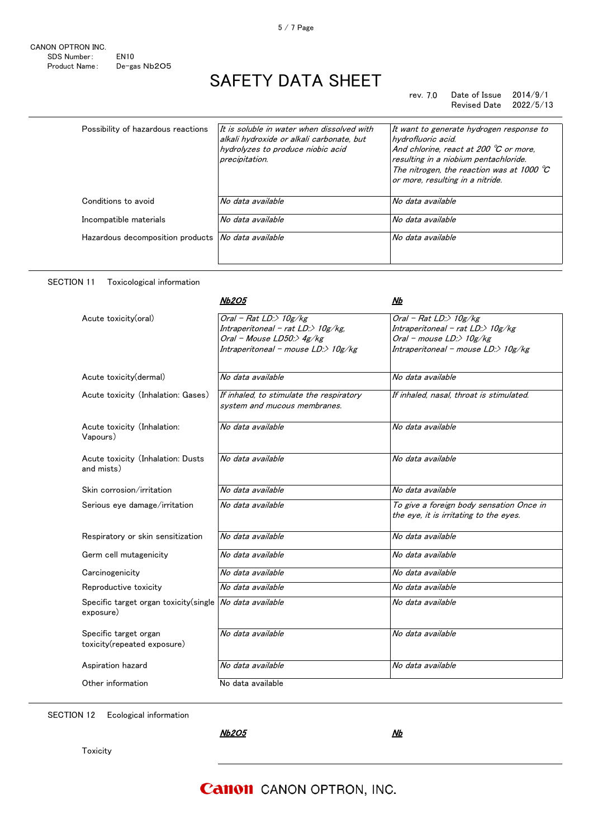#### rev. 7.0 Date of Issue 2014/9/1 Revised Date

| Possibility of hazardous reactions | It is soluble in water when dissolved with<br>alkali hydroxide or alkali carbonate, but<br>hydrolyzes to produce niobic acid<br>precipitation. | It want to generate hydrogen response to<br>hydrofluoric acid.<br>And chlorine, react at 200 $\degree$ C or more,<br>resulting in a niobium pentachloride.<br>The nitrogen, the reaction was at 1000 $\degree$ C<br>or more, resulting in a nitride. |
|------------------------------------|------------------------------------------------------------------------------------------------------------------------------------------------|------------------------------------------------------------------------------------------------------------------------------------------------------------------------------------------------------------------------------------------------------|
| Conditions to avoid                | No data available                                                                                                                              | No data available                                                                                                                                                                                                                                    |
| Incompatible materials             | No data available                                                                                                                              | No data available                                                                                                                                                                                                                                    |
| Hazardous decomposition products   | No data available                                                                                                                              | No data available                                                                                                                                                                                                                                    |

### SECTION 11 Toxicological information Nb2O5

|                                                      | <i><b>Nb2O5</b></i>                                                                                                                         | Nb                                                                                                                                                    |
|------------------------------------------------------|---------------------------------------------------------------------------------------------------------------------------------------------|-------------------------------------------------------------------------------------------------------------------------------------------------------|
| Acute toxicity(oral)                                 | Oral - Rat LD: $>$ 10g/kg<br>Intraperitoneal - rat $LD$ :> $10g/kg$ ,<br>Oral - Mouse LD50:> $4g/kg$<br>Intraperitoneal - mouse LD:> 10g/kg | Oral - Rat LD: $>$ 10g/kg<br>Intraperitoneal - rat $LD \gg 10g/kg$<br>Oral - mouse $LD \rightarrow 10g/kg$<br>Intraperitoneal - mouse $LD \gg 10g/kg$ |
| Acute toxicity(dermal)                               | No data available                                                                                                                           | No data available                                                                                                                                     |
| Acute toxicity (Inhalation: Gases)                   | If inhaled, to stimulate the respiratory<br>system and mucous membranes.                                                                    | If inhaled, nasal, throat is stimulated,                                                                                                              |
| Acute toxicity (Inhalation:<br>Vapours)              | No data available                                                                                                                           | No data available                                                                                                                                     |
| Acute toxicity (Inhalation: Dusts<br>and mists)      | No data available                                                                                                                           | No data available                                                                                                                                     |
| Skin corrosion/irritation                            | No data available                                                                                                                           | No data available                                                                                                                                     |
| Serious eye damage/irritation                        | No data available                                                                                                                           | To give a foreign body sensation Once in<br>the eye, it is irritating to the eyes.                                                                    |
| Respiratory or skin sensitization                    | No data available                                                                                                                           | No data available                                                                                                                                     |
| Germ cell mutagenicity                               | No data available                                                                                                                           | No data available                                                                                                                                     |
| Carcinogenicity                                      | No data available                                                                                                                           | No data available                                                                                                                                     |
| Reproductive toxicity                                | No data available                                                                                                                           | No data available                                                                                                                                     |
| Specific target organ toxicity (single<br>exposure)  | No data available                                                                                                                           | No data available                                                                                                                                     |
| Specific target organ<br>toxicity(repeated exposure) | No data available                                                                                                                           | No data available                                                                                                                                     |
| Aspiration hazard                                    | No data available                                                                                                                           | No data available                                                                                                                                     |
| Other information                                    | No data available                                                                                                                           |                                                                                                                                                       |

SECTION 12 Ecological information

Nb2O5

 $Nb$ 

**Toxicity** 

### **Canon** CANON OPTRON, INC.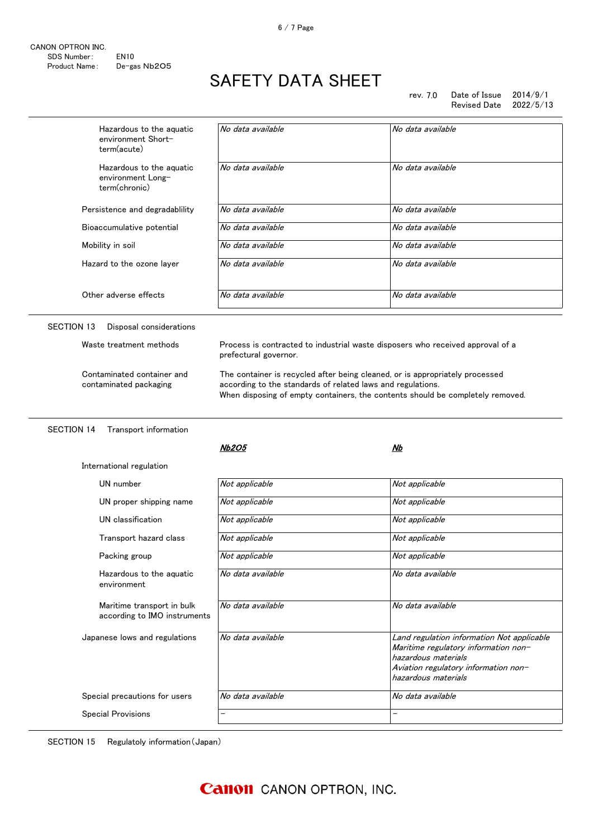| CANON OPTRON INC. |                  |
|-------------------|------------------|
| SDS Number:       | FN <sub>10</sub> |
| Product Name:     | De-gas Nb2O5     |

rev. 7.0 Date of Issue 2014/9/1 Revised Date 2022/5/13

| Hazardous to the aguatic<br>environment Short-<br>term(acute)  | No data available                                                                                                                           | No data available                                                                                                                                                        |
|----------------------------------------------------------------|---------------------------------------------------------------------------------------------------------------------------------------------|--------------------------------------------------------------------------------------------------------------------------------------------------------------------------|
| Hazardous to the aquatic<br>environment Long-<br>term(chronic) | No data available                                                                                                                           | No data available                                                                                                                                                        |
| Persistence and degradablility                                 | No data available                                                                                                                           | No data available                                                                                                                                                        |
| Bioaccumulative potential                                      | No data available                                                                                                                           | No data available                                                                                                                                                        |
| Mobility in soil                                               | No data available                                                                                                                           | No data available                                                                                                                                                        |
| Hazard to the ozone layer                                      | No data available                                                                                                                           | No data available                                                                                                                                                        |
| Other adverse effects                                          | No data available                                                                                                                           | No data available                                                                                                                                                        |
| Disposal considerations<br>SECTION 13                          |                                                                                                                                             |                                                                                                                                                                          |
| Waste treatment methods                                        | Process is contracted to industrial waste disposers who received approval of a<br>prefectural governor.                                     |                                                                                                                                                                          |
| Contaminated container and                                     | The container is recycled after being cleaned, or is appropriately processed<br>according to the standards of related laws and regulations. | When disposing of empty containers, the contents should be completely removed.                                                                                           |
| contaminated packaging                                         |                                                                                                                                             |                                                                                                                                                                          |
| <b>SECTION 14</b><br>Transport information                     |                                                                                                                                             |                                                                                                                                                                          |
|                                                                | <b>Nb2O5</b>                                                                                                                                | Nb                                                                                                                                                                       |
| International regulation                                       |                                                                                                                                             |                                                                                                                                                                          |
| UN number                                                      | Not applicable                                                                                                                              | Not applicable                                                                                                                                                           |
| UN proper shipping name                                        | Not applicable                                                                                                                              | Not applicable                                                                                                                                                           |
| UN classification                                              | Not applicable                                                                                                                              | Not applicable                                                                                                                                                           |
| Transport hazard class                                         | Not applicable                                                                                                                              | Not applicable                                                                                                                                                           |
| Packing group                                                  | Not applicable                                                                                                                              | Not applicable                                                                                                                                                           |
| Hazardous to the aquatic<br>environment                        | No data available                                                                                                                           | No data available                                                                                                                                                        |
| Maritime transport in bulk<br>according to IMO instruments     | No data available                                                                                                                           | No data available                                                                                                                                                        |
| Japanese lows and regulations                                  | No data available                                                                                                                           | Land regulation information Not applicable<br>Maritime regulatory information non-<br>hazardous materials<br>Aviation regulatory information non-<br>hazardous materials |
| Special precautions for users                                  | No data available                                                                                                                           | No data available                                                                                                                                                        |

SECTION 15 Regulatoly information(Japan)